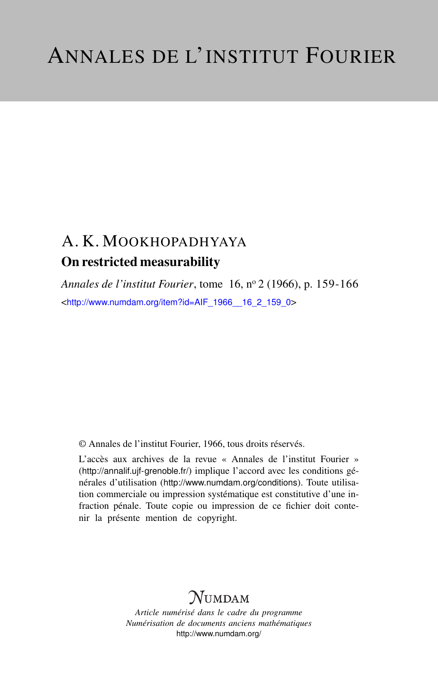## A. K. MOOKHOPADHYAYA On restricted measurability

*Annales de l'institut Fourier*, tome 16, n<sup>o</sup> 2 (1966), p. 159-166 <[http://www.numdam.org/item?id=AIF\\_1966\\_\\_16\\_2\\_159\\_0](http://www.numdam.org/item?id=AIF_1966__16_2_159_0)>

© Annales de l'institut Fourier, 1966, tous droits réservés.

L'accès aux archives de la revue « Annales de l'institut Fourier » (<http://annalif.ujf-grenoble.fr/>) implique l'accord avec les conditions générales d'utilisation (<http://www.numdam.org/conditions>). Toute utilisation commerciale ou impression systématique est constitutive d'une infraction pénale. Toute copie ou impression de ce fichier doit contenir la présente mention de copyright.

# NUMDAM

*Article numérisé dans le cadre du programme Numérisation de documents anciens mathématiques* <http://www.numdam.org/>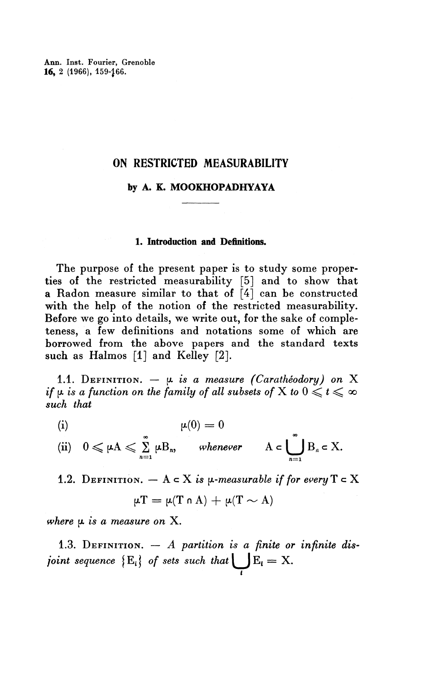Ann. Inst. Fourier, Grenoble **16,** 2 (1966), 159-^66.

### **ON RESTRICTED MEASURABILITY**

#### **by A. K. MOOKHOPADHYAYA**

#### **1. Introduction and Definitions.**

The purpose of the present paper is to study some properties of the restricted measurability [5] and to show that a Radon measure similar to that of  $\left[4\right]$  can be constructed with the help of the notion of the restricted measurability. Before we go into details, we write out, for the sake of completeness, a few definitions and notations some of which are borrowed from the above papers and the standard texts such as Halmos [1] and Kelley [2].

1.1. DEFINITION.  $- \mu$  is a measure (Caratheodory) on X *if*  $\mu$  *is a function on the family of all subsets of* X *to*  $0 \leq t \leq \infty$ *such that*

(i) 
$$
\mu(0) = 0
$$
  
(ii)  $0 \le \mu A \le \sum_{n=1}^{\infty} \mu B_n$ , whenever  $A \in \bigcup_{n=1}^{\infty} B_n \subset X$ .

1.2. DEFINITION.  $- A \in X$  is  $\mu$ -measurable if for every  $T \in X$ <br> $\mu T = \mu(T \cap A) + \mu(T \sim A)$ 

 $n=1$ 

$$
\mu T = \mu(T \cap A) + \mu(T \sim A)
$$

*where* **p.** *is a measure on* **X.**

1.3. DEFINITION. — A *partition is a finite or infinite disjoint sequence*  ${E_i}$  *of sets such that*  $E_i = X$ . *i*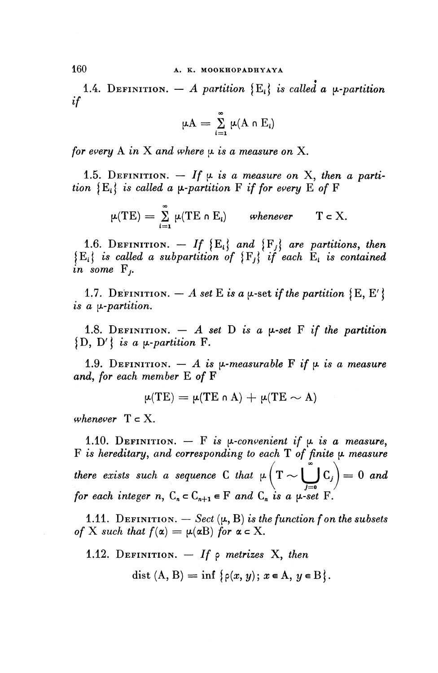**160 A. K. MOOKHOPADHYAYA**

1.4. DEFINITION.  $-A$  partition  $\{E_i\}$  is called a  $\mu$ -partition *if*

$$
\mu A = \sum_{i=1}^{\infty} \mu(A \cap E_i)
$$

*for every* A in X and where  $\mu$  is a measure on X.

1.5. DEFINITION.  $-$  If  $\mu$  is a measure on X, then a parti*tion*  ${E_i}$  *is called a*  $\mu$ *-partition* F *if for every* E *of* F

$$
\mu(TE) = \sum_{i=1}^{\infty} \mu(TE \cap E_i) \quad \text{whenever} \quad T \in X.
$$

1.6. DEFINITION.  $-$  If  ${E_i}$  and  ${F_i}$  are partitions, then  $\{E_i\}$  is called a subpartition of  $\{F_i\}$  if each  $E_i$  is contained *in* some F<sub>i</sub>.

1.7. DEFINITION.  $- A$  set E is a  $\mu$ -set if the partition  $\{E, E'\}$ is a  $\mu$ -partition.

1.8. DEFINITION.  $-$  A set D is a  $\mu$ -set F if the partition  $\{D, D' \}$  is a  $\mu$ -partition F.

1.9. DEFINITION.  $- A$  is  $\mu$ -measurable F if  $\mu$  is a measure *and, for each member E of F* 

$$
\mu(TE) = \mu(TE \cap A) + \mu(TE \sim A)
$$

*whenever*  $T \subset X$ .

1.10. DEFINITION.  $-$  F is  $\mu$ -convenient if  $\mu$  is a measure, F is hereditary, and corresponding to each T of finite  $\mu$  measure there exists such a sequence C that  $\mu(T \sim \bigcup_{i=1}^{\infty} C_i) = 0$  and  $\bigcup_{j=0}$   $\bigcup_{j}$ for each integer n,  $C_n \subset C_{n+1} \in F$  and  $C_n$  is a  $\mu$ -set F.

1.11. DEFINITION.  $-$  Sect  $(\mu, B)$  is the function f on the subsets *of* X such that  $f(\alpha) = \mu(\alpha B)$  for  $\alpha \in X$ .

1.12. DEFINITION. — *If* p *metrizes X, then*

dist  $(A, B) = \inf \{ \rho(x, y); x \in A, y \in B \}.$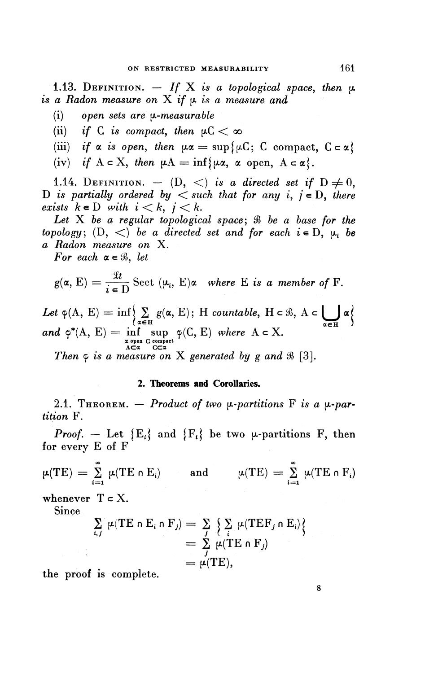1.13. DEFINITION.  $-$  If X is a topological space, then  $\mu$ is a Radon measure on X if  $\mu$  is a measure and

- (i) open sets are *y*-measurable
- (ii) if C is compact, then  $\mu C < \infty$
- (iii) if a is open, then  $\mu\alpha = \sup{\{\mu\text{C}}; \text{ C compact, } \text{C} \subset \alpha\}$
- (iv) if  $A \subset X$ , then  $\mu A = \inf \{ \mu \alpha, \alpha \text{ open}, A \subset \alpha \}$ .

1.14. DEFINITION.  $-$  (D,  $\langle \rangle$ ) is a directed set if  $D \neq 0$ , D is partially ordered by  $\langle$  such that for any i,  $j \in D$ , there exists  $k \in D$  with  $i < k$ ,  $j < k$ .

Let X be a regular topological space;  $\Re$  be a base for the *topology*;  $(D, <)$  *be a directed set and for each i*  $\in$  D,  $\mu_i$  *be a Radon measure on* X.

*For each*  $\alpha \in \mathcal{B}$ , let

$$
g(\alpha, E) = \frac{\mathcal{L}t}{i \in D} \text{ Sect } (\mu_i, E)\alpha \text{ where } E \text{ is a member of } F.
$$

Let 
$$
\varphi(A, E) = \inf \left\{ \sum_{\alpha \in H} g(\alpha, E) \colon H \text{ countable, } H \in \mathcal{B}, A \in \bigcup_{\alpha \in H} \alpha \right\}
$$
  
and  $\varphi^*(A, E) = \inf_{\substack{\alpha \text{ open } C \text{ compact} \\ A \subset \alpha}} \varphi(C, E) \text{ where } A \subset X.$ 

*Then*  $\varphi$  *is a measure on* X generated by g and  $\Re$  [3].

### **2. Theorems and Corollaries.**

2.1. THEOREM.  $-$  *Product of two*  $\mu$ *-partitions* F is a  $\mu$ -par*tition* F.

*Proof.* – Let  ${E_i}$  and  ${F_i}$  be two u-partitions F, then for every E of F

$$
\mu(TE) = \sum_{i=1}^{\infty} \mu(TE \cap E_i) \quad \text{and} \quad \mu(TE) = \sum_{i=1}^{\infty} \mu(TE \cap F_i)
$$

whenever  $T \subset X$ .

**Since**

$$
\sum_{i,j} \mu(TE \cap E_i \cap F_j) = \sum_j \left\{ \sum_i \mu(TEF_j \cap E_i) \right\}
$$
  
=  $\sum_j \mu(TE \cap F_j)$   
=  $\mu(TE)$ ,

8

the proof is complete.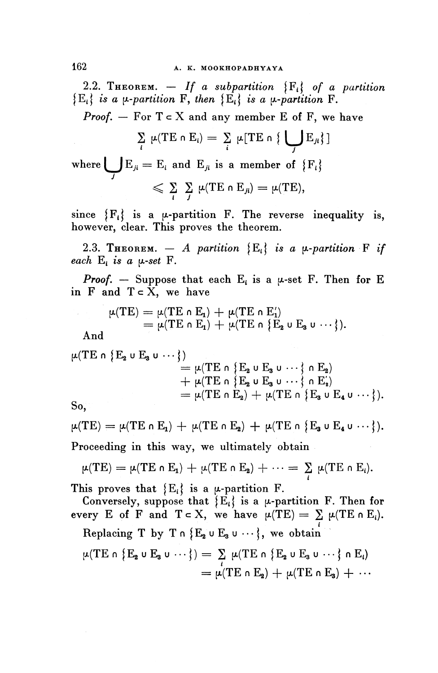2.2. THEOREM.  $-$  If a subpartition  $\{F_i\}$  of a partition  ${E_i}$ *is a*  $\mu$ *-partition* F, then  ${E_i}$  is a  $\mu$ -partition F.

*Proof.*  $-$  For  $T \subset X$  and any member E of F, we have

$$
\sum_{i} \mu(TE \cap E_{i}) = \sum_{i} \mu[TE \cap \{\bigcup_{j} E_{ji}\}]
$$

where  $\bigcup E_{ji} = E_i$  and  $E_{ji}$  is a member of  $\{F_i\}$  $\leqslant \sum_{i} \sum_{j} \mu(TE \cap E_{ji}) = \mu(TE),$ 

since  ${F<sub>i</sub>}$  is a  $\mu$ -partition F. The reverse inequality is, **however, clear. This proves the theorem.**

2.3. THEOREM.  $-$  A partition  $\{E_i\}$  is a  $\mu$ -partition **F** if *each*  $E_i$  *is a*  $\mu$ *-set*  $F$ *.* 

*Proof.* — Suppose that each  $E_i$  is a  $\mu$ -set F. Then for E in  $F$  and  $T \subset X$ , we have

$$
\mu(TE) = \mu(TE \cap E_1) + \mu(TE \cap E_1')
$$
  
= 
$$
\mu(TE \cap E_1) + \mu(TE \cap \{E_2 \cup E_3 \cup \cdots\}).
$$

**And**

$$
\begin{aligned} \mu(TE \cap \{E_2 \cup E_3 \cup \cdots\}) &= \mu(TE \cap \{E_2 \cup E_3 \cup \cdots\} \cap E_2) \\ &+ \mu(TE \cap \{E_2 \cup E_3 \cup \cdots\} \cap E_2') \\ &= \mu(TE \cap E_2) + \mu(TE \cap \{E_3 \cup E_4 \cup \cdots\}). \end{aligned}
$$

**So,**

 $\mu(TE) = \mu(TE \cap E_1) + \mu(TE \cap E_2) + \mu(TE \cap \{E_3 \cup E_4 \cup \cdots\}).$ 

**Proceeding in this way, we ultimately obtain**

$$
\mu(TE) = \mu(TE \cap E_1) + \mu(TE \cap E_2) + \cdots = \sum_i \mu(TE \cap E_i).
$$

This proves that  $\{E_i\}$  is a  $\mu$ -partition F.

Conversely, suppose that  $\{E_i\}$  is a  $\mu$ -partition F. Then for **every E** of **F** and  $T \subset X$ , we have  $\mu(TE) = \sum \mu(TE \cap E_i)$ . **i Replacing T by T n IE^ u E3 u •\* • j, we obtain**  $\mu(TE \cap \{E_2 \cup E_3 \cup \cdots\}) = \sum_i \mu(TE \cap \{E_2 \cup E_3 \cup \cdots\} \cap E_i)$  $= \mu(TE \cap E_2) + \mu(TE \cap E_3) + \cdots$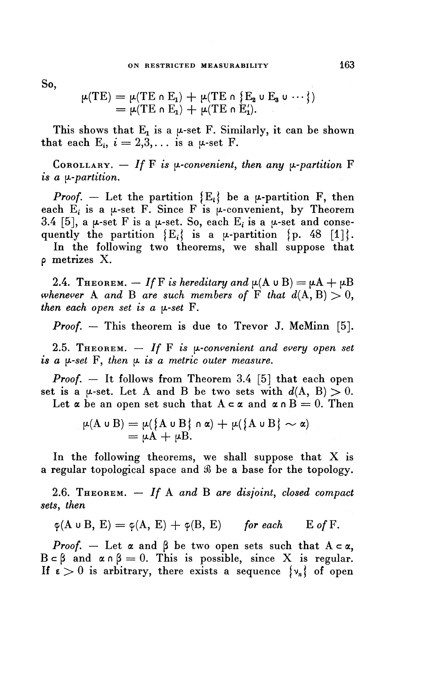**So,**

$$
\mu(TE) = \mu(TE \cap E_1) + \mu(TE \cap \{E_2 \cup E_3 \cup \cdots\})
$$
  
= 
$$
\mu(TE \cap E_1) + \mu(TE \cap E'_1).
$$

This shows that  $E_1$  is a  $\mu$ -set F. Similarly, it can be shown that each  $E_i$ ,  $i = 2,3,...$  is a  $\mu$ -set F.

COROLLARY.  $-$  If F is  $\mu$ -convenient, then any  $\mu$ -partition F is *a [^-partition.*

*Proof.* – Let the partition  ${E_i}$  be a  $\mu$ -partition F, then each E, is a  $\mu$ -set F. Since F is  $\mu$ -convenient, by Theorem 3.4 [5], a  $\mu$ -set F is a  $\mu$ -set. So, each E<sub>i</sub> is a  $\mu$ -set and consequently the partition  $\{E_i\}$  is a  $\mu$ -partition  $\{p. 48 \}$ .

In the following two theorems, we shall suppose that p metrizes X.

2.4. THEOREM.  $-If$  F is hereditary and  $\mu(A \cup B) = \mu A + \mu B$ *whenever* A *and* B *are such members of* F *that*  $d(A, B) > 0$ , *then each open set is a y»-set* F.

*Proof.* – This theorem is due to Trevor J. McMinn [5].

2.5. THEOREM.  $-$  If F is  $\mu$ -convenient and every open set  $i\mathbf{s}$  a  $\mu$ -set  $\mathbf{F}$ , then  $\mu$  is a metric outer measure.

*Proof. —* It follows from Theorem 3.4 [5] that each open set is a  $\mu$ -set. Let A and B be two sets with  $d(A, B) > 0$ . Let  $\alpha$  be an open set such that  $A \subset \alpha$  and  $\alpha \cap B = 0$ . Then

$$
\mu(A \cup B) = \mu(\{A \cup B\} \cap \alpha) + \mu(\{A \cup B\} \sim \alpha)
$$
  
=  $\mu A + \mu B$ .

In the following theorems, we shall suppose that X is a regular topological space and  $\mathcal B$  be a base for the topology.

2.6. THEOREM. — *If* A *and* B *are disjoint, closed compact sets, then*

$$
\varphi(A \cup B, E) = \varphi(A, E) + \varphi(B, E)
$$
 for each E of F.

*Proof.*  $-$  Let  $\alpha$  and  $\beta$  be two open sets such that  $A \subset \alpha$ ,  $B \subset \beta$  and  $\alpha \cap \beta = 0$ . This is possible, since X is regular. If  $\epsilon > 0$  is arbitrary, there exists a sequence  $\{v_n\}$  of open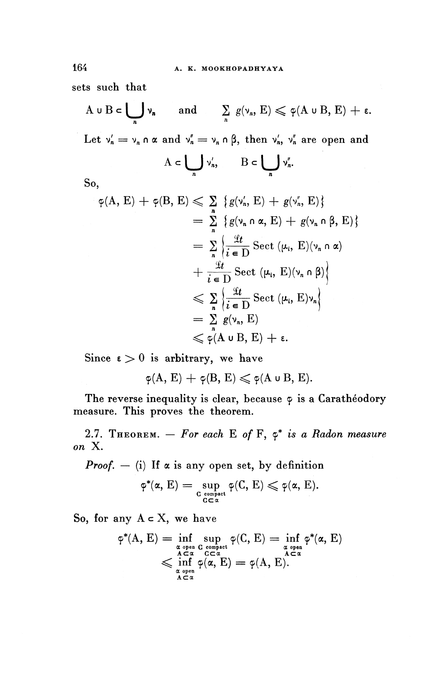**sets such that**

$$
A \cup B \subset \bigcup_n \nu_n \quad \text{and} \quad \sum_n g(\nu_n, E) \leqslant \varphi(A \cup B, E) + \varepsilon.
$$

Let  $v'_n = v_n \circ \alpha$  and  $v''_n = v_n \circ \beta$ , then  $v'_n$ ,  $v''_n$  are open and

$$
A\subset \bigcup_n v'_n,\qquad B\subset \bigcup_n v''_n.
$$

**So,**

$$
\varphi(A, E) + \varphi(B, E) \leq \sum_{n} \{g(\nu_n, E) + g(\nu_n, E)\}
$$
\n
$$
= \sum_{n} \{g(\nu_n \cap \alpha, E) + g(\nu_n \cap \beta, E)\}
$$
\n
$$
= \sum_{n} \{\frac{\mathcal{L}t}{i \in D} \text{Sect } (\mu_i, E)(\nu_n \cap \alpha)
$$
\n
$$
+ \frac{\mathcal{L}t}{i \in D} \text{Sect } (\mu_i, E)(\nu_n \cap \beta)\}
$$
\n
$$
\leq \sum_{n} \{\frac{\mathcal{L}t}{i \in D} \text{Sect } (\mu_i, E)\nu_n\}
$$
\n
$$
= \sum_{n} g(\nu_n, E)
$$
\n
$$
\leq \varphi(A \cup B, E) + \varepsilon.
$$

Since  $\epsilon > 0$  is arbitrary, we have

 $\varphi(A, E) + \varphi(B, E) \leqslant \varphi(A \cup B, E).$ 

The reverse inequality is clear, because  $\varphi$  is a Caratheodory **measure. This proves the theorem.**

**2.7. THEOREM.**  $-$  For each E of F,  $\varphi^*$  is a Radon measure *on* **X.**

*Proof. —* **(i) If a is any open set, by definition**

$$
\phi^*(\alpha, E) = \sup_{\substack{C \text{ compact} \\ G \subset \alpha}} \phi(C, E) \leqslant \phi(\alpha, E).
$$

So, for any **A c X,** we have

$$
\begin{array}{l} \phi^*(A,\, E)=\displaystyle\inf_{\substack{\alpha\text{ open }C\text{ compact}\\ A\subset\alpha\\ C\subset\alpha\\ \alpha\text{ open}}}\,\wp(C,\, E)=\inf_{\substack{\alpha\text{ open}\\ \alpha\text{ open}\\ A\subset\alpha}}\phi^*(\alpha,\, E)\\ \leqslant\inf_{\substack{\alpha\text{ open}\\ \alpha\text{ even}}}\,\phi(\alpha,\, E)=\phi(A,\, E).\end{array}
$$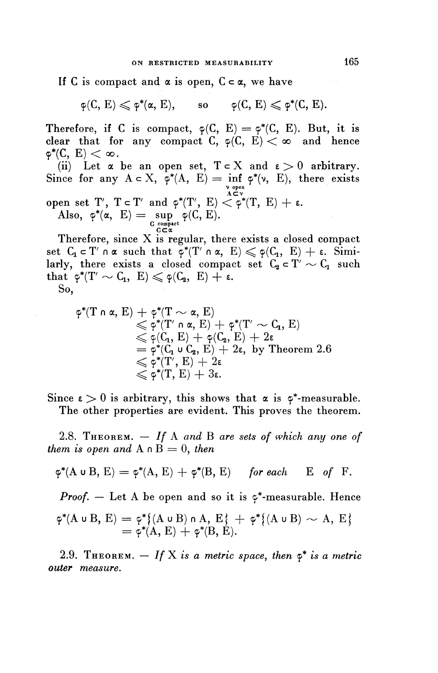If C is compact and  $\alpha$  is open,  $C \subset \alpha$ , we have

 $\varphi(C, E) \leqslant \varphi^*(\alpha, E), \quad \text{so} \quad \varphi(C, E) \leqslant \varphi^*(C, E).$ 

**Therefore, if C** is compact,  $\varphi(C, E) = \varphi^*(C, E)$ . But, it is clear that for any compact C,  $\varphi(C, E) < \infty$  and hence  $\varphi^*(C, E) < \infty$ .

(ii) Let  $\alpha$  be an open set,  $T \subset X$  and  $\epsilon > 0$  arbitrary. Since for any  $A \subset X$ ,  $\varphi^*(A, E) = \inf_{\mathsf{v} \text{ open}} \varphi^*(\mathsf{v}, E)$ , there exists open set T',  $T \subset T'$  and  $\varphi^*(T', E) < \varphi^*(T, E) + \varepsilon$ . Also,  $\varphi^*(\alpha, E) = \sup_{\substack{C \text{ compact} \\ C \subset \alpha}} \varphi(C, E).$ 

Therefore, since X is regular, there exists a closed compact set  $C_1 \subset T'$  n  $\alpha$  such that  $\varphi^*(T' \cap \alpha, E) \leq \varphi(C_1, E) + \varepsilon$ . Simiset  $C_1 \subset T' \cap \alpha$  such that  $\varphi^*(T' \cap \alpha, E) \leqslant \varphi(C_1, E) + \varepsilon$ . Simi-<br>larly, there exists a closed compact set  $C_2 \subset T' \sim C_1$  such<br>that  $\varphi^*(T' \sim C_1, E) \leqslant \varphi(C_2, E) + \varepsilon$ .

**So,**

$$
\begin{array}{ll}\phi^*(T \cap \alpha,\, E) \, + \, \phi^*(T \sim \alpha,\, E) \\ & \leqslant \phi^*(T' \cap \alpha,\, E) \, + \, \phi^*(T' \sim C_1,\, E) \\ & \leqslant \phi(C_1,\, E) \, + \, \phi(C_2,\, E) \, + \, 2 \varepsilon \\ & = \phi^*(C_1 \cup C_2,\, E) \, + \, 2 \varepsilon,\, \text{ by Theorem 2.6} \\ & \leqslant \phi^*(T,\, E) \, + \, 2 \varepsilon \\ & \leqslant \phi^*(T,\, E) \, + \, 3 \varepsilon.\end{array}
$$

Since  $\epsilon > 0$  is arbitrary, this shows that  $\alpha$  is  $\varphi^*$ -measurable. **The other properties are evident. This proves the theorem.**

**2.8. THEOREM. —** *If* **A** *and* **B** *are sets of which any one of them is open and*  $A \cap B = 0$ *, then* 

$$
\varphi^*(A \cup B, E) = \varphi^*(A, E) + \varphi^*(B, E)
$$
 for each E of F.

*Proof.*  $-$  Let A be open and so it is  $\varphi^*$ -measurable. Hence

$$
\varphi^*(A \cup B, E) = \varphi^*\{(A \cup B) \cap A, E\} + \varphi^*\{(A \cup B) \sim A, E\}
$$
  
=  $\varphi^*(A, E) + \varphi^*(B, E).$ 

**2.9. THEOREM.**  $-$  If X is a metric space, then  $\varphi^*$  is a metric *outer measure.*